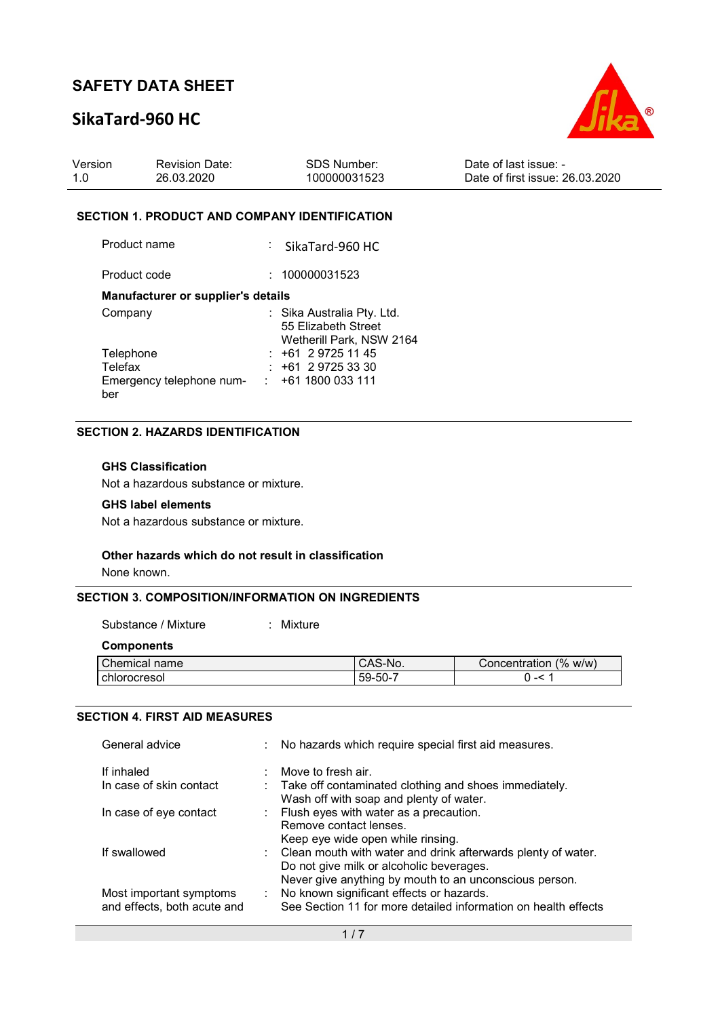## SikaTard-960 HC



| Version | <b>Revision Date:</b> | <b>SDS Number:</b> | Date of last issue: -           |
|---------|-----------------------|--------------------|---------------------------------|
| 1.0     | 26.03.2020            | 100000031523       | Date of first issue: 26.03.2020 |

### SECTION 1. PRODUCT AND COMPANY IDENTIFICATION

| Product name                       | $\therefore$ SikaTard-960 HC                      |
|------------------------------------|---------------------------------------------------|
| Product code                       | : 100000031523                                    |
| Manufacturer or supplier's details |                                                   |
| Company                            | : Sika Australia Pty. Ltd.<br>55 Elizabeth Street |

|                          | 55 Elizabeth Street      |
|--------------------------|--------------------------|
|                          | Wetherill Park, NSW 2164 |
| Telephone                | $: +61297251145$         |
| Telefax                  | $: +61297253330$         |
| Emergency telephone num- | $: +611800033111$        |
| ber                      |                          |

## SECTION 2. HAZARDS IDENTIFICATION

## GHS Classification

Not a hazardous substance or mixture.

### GHS label elements

Not a hazardous substance or mixture.

### Other hazards which do not result in classification

None known.

### SECTION 3. COMPOSITION/INFORMATION ON INGREDIENTS

Substance / Mixture : Mixture :

**Components** 

| Chemical name | <sup>1</sup> CAS-No. | Concentration (% w/w) |
|---------------|----------------------|-----------------------|
| chlorocresol  | $59 - 50 -$          | --                    |
|               |                      |                       |

### SECTION 4. FIRST AID MEASURES

| General advice                                         | : No hazards which require special first aid measures.                                                                                                               |
|--------------------------------------------------------|----------------------------------------------------------------------------------------------------------------------------------------------------------------------|
| If inhaled                                             | Move to fresh air.                                                                                                                                                   |
| In case of skin contact                                | : Take off contaminated clothing and shoes immediately.<br>Wash off with soap and plenty of water.                                                                   |
| In case of eye contact                                 | : Flush eyes with water as a precaution.<br>Remove contact lenses.<br>Keep eye wide open while rinsing.                                                              |
| If swallowed                                           | : Clean mouth with water and drink afterwards plenty of water.<br>Do not give milk or alcoholic beverages.<br>Never give anything by mouth to an unconscious person. |
| Most important symptoms<br>and effects, both acute and | No known significant effects or hazards.<br>See Section 11 for more detailed information on health effects                                                           |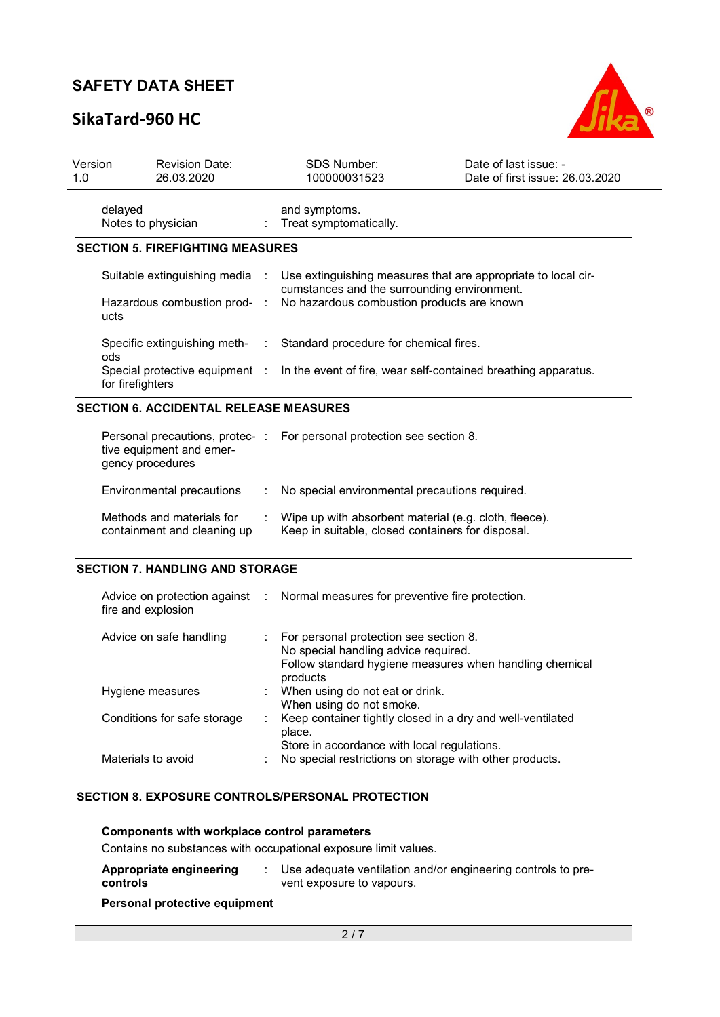# SikaTard-960 HC



| Version<br>1.0 | <b>Revision Date:</b><br>26.03.2020                                            |                        | <b>SDS Number:</b><br>100000031523                                                                         | Date of last issue: -<br>Date of first issue: 26.03.2020       |
|----------------|--------------------------------------------------------------------------------|------------------------|------------------------------------------------------------------------------------------------------------|----------------------------------------------------------------|
|                | delayed<br>Notes to physician                                                  |                        | and symptoms.<br>Treat symptomatically.                                                                    |                                                                |
|                | <b>SECTION 5. FIREFIGHTING MEASURES</b>                                        |                        |                                                                                                            |                                                                |
|                | Suitable extinguishing media<br>Hazardous combustion prod-<br>ucts             | $\sim$ 1.<br>$\sim$ 1. | cumstances and the surrounding environment.<br>No hazardous combustion products are known                  | Use extinguishing measures that are appropriate to local cir-  |
|                | Specific extinguishing meth-<br>ods                                            | ÷.                     | Standard procedure for chemical fires.                                                                     |                                                                |
|                | Special protective equipment :<br>for firefighters                             |                        |                                                                                                            | In the event of fire, wear self-contained breathing apparatus. |
|                | <b>SECTION 6. ACCIDENTAL RELEASE MEASURES</b>                                  |                        |                                                                                                            |                                                                |
|                | Personal precautions, protec-:<br>tive equipment and emer-<br>gency procedures |                        | For personal protection see section 8.                                                                     |                                                                |
|                | Environmental precautions                                                      |                        | No special environmental precautions required.                                                             |                                                                |
|                | Methods and materials for<br>containment and cleaning up                       |                        | Wipe up with absorbent material (e.g. cloth, fleece).<br>Keep in suitable, closed containers for disposal. |                                                                |
|                | <b>SECTION 7. HANDLING AND STORAGE</b>                                         |                        |                                                                                                            |                                                                |
|                | Advice on protection against                                                   |                        | Normal measures for preventive fire protection.                                                            |                                                                |

| Advice on safe handling     | : For personal protection see section 8.                            |
|-----------------------------|---------------------------------------------------------------------|
|                             | No special handling advice required.                                |
|                             | Follow standard hygiene measures when handling chemical<br>products |
| Hygiene measures            | : When using do not eat or drink.                                   |
|                             | When using do not smoke.                                            |
| Conditions for safe storage | Keep container tightly closed in a dry and well-ventilated          |
|                             | place.                                                              |
|                             | Store in accordance with local regulations.                         |
| Materials to avoid          | No special restrictions on storage with other products.             |

### SECTION 8. EXPOSURE CONTROLS/PERSONAL PROTECTION

### Components with workplace control parameters

Contains no substances with occupational exposure limit values.

| Appropriate engineering<br>controls | Use adequate ventilation and/or engineering controls to pre-<br>vent exposure to vapours. |
|-------------------------------------|-------------------------------------------------------------------------------------------|
|                                     |                                                                                           |

## Personal protective equipment

fire and explosion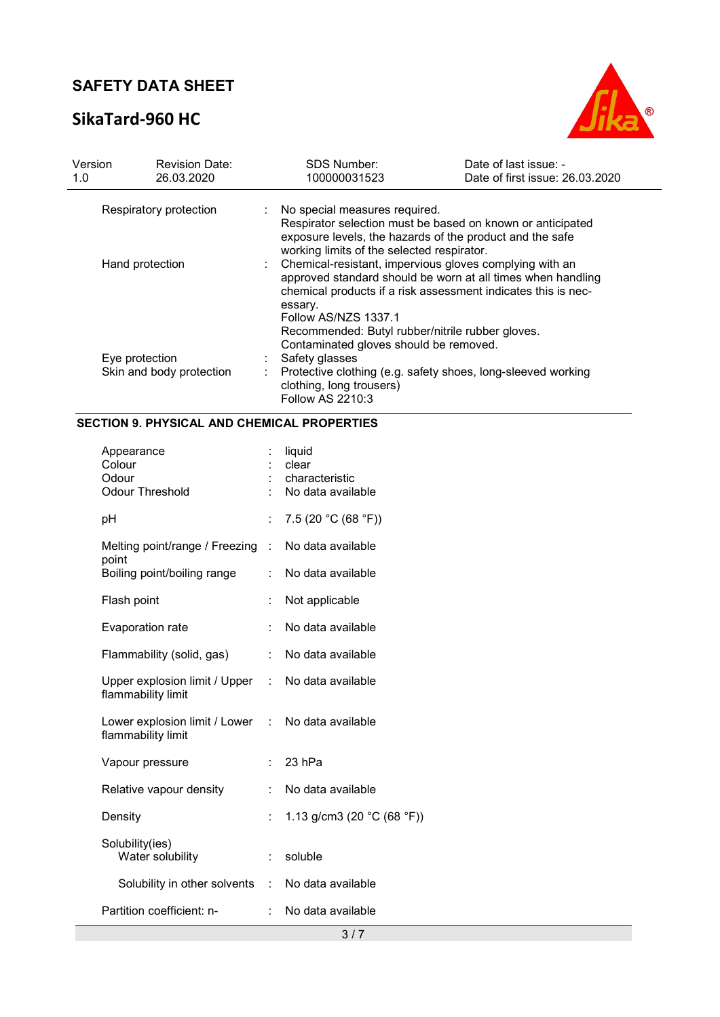# SikaTard-960 HC



| Version<br>1.0 | <b>Revision Date:</b><br>26.03.2020 |                           | <b>SDS Number:</b><br>100000031523               | Date of last issue: -<br>Date of first issue: 26.03.2020                                                                                                                                |
|----------------|-------------------------------------|---------------------------|--------------------------------------------------|-----------------------------------------------------------------------------------------------------------------------------------------------------------------------------------------|
|                | Respiratory protection              | $\mathbb{Z}^{\mathbb{Z}}$ | No special measures required.                    |                                                                                                                                                                                         |
|                |                                     |                           | working limits of the selected respirator.       | Respirator selection must be based on known or anticipated<br>exposure levels, the hazards of the product and the safe                                                                  |
|                | Hand protection                     |                           |                                                  | Chemical-resistant, impervious gloves complying with an<br>approved standard should be worn at all times when handling<br>chemical products if a risk assessment indicates this is nec- |
|                |                                     |                           | essary.<br>Follow AS/NZS 1337.1                  |                                                                                                                                                                                         |
|                |                                     |                           | Recommended: Butyl rubber/nitrile rubber gloves. |                                                                                                                                                                                         |
|                |                                     |                           | Contaminated gloves should be removed.           |                                                                                                                                                                                         |
|                | Eye protection                      |                           | Safety glasses                                   |                                                                                                                                                                                         |
|                | Skin and body protection            |                           | clothing, long trousers)<br>Follow AS 2210:3     | Protective clothing (e.g. safety shoes, long-sleeved working                                                                                                                            |

## SECTION 9. PHYSICAL AND CHEMICAL PROPERTIES

| 7.5 (20 °C (68 °F))<br>рH<br>Melting point/range / Freezing<br>No data available<br>÷<br>point<br>Boiling point/boiling range<br>No data available<br>Flash point<br>Not applicable<br>No data available<br>Evaporation rate<br>Flammability (solid, gas)<br>÷.<br>No data available<br>Upper explosion limit / Upper : No data available<br>flammability limit<br>Lower explosion limit / Lower : No data available<br>flammability limit<br>Vapour pressure<br>23 hPa<br>Relative vapour density<br>No data available<br>1.13 g/cm3 (20 $^{\circ}$ C (68 $^{\circ}$ F))<br>Density<br>Solubility(ies)<br>Water solubility<br>soluble<br>÷.<br>Solubility in other solvents<br>No data available<br>$\mathbb{R}^{\mathbb{Z}}$<br>Partition coefficient: n-<br>No data available | Appearance<br>Colour<br>Odour<br><b>Odour Threshold</b> | liquid<br>clear<br>characteristic<br>No data available |
|----------------------------------------------------------------------------------------------------------------------------------------------------------------------------------------------------------------------------------------------------------------------------------------------------------------------------------------------------------------------------------------------------------------------------------------------------------------------------------------------------------------------------------------------------------------------------------------------------------------------------------------------------------------------------------------------------------------------------------------------------------------------------------|---------------------------------------------------------|--------------------------------------------------------|
|                                                                                                                                                                                                                                                                                                                                                                                                                                                                                                                                                                                                                                                                                                                                                                                  |                                                         |                                                        |
|                                                                                                                                                                                                                                                                                                                                                                                                                                                                                                                                                                                                                                                                                                                                                                                  |                                                         |                                                        |
|                                                                                                                                                                                                                                                                                                                                                                                                                                                                                                                                                                                                                                                                                                                                                                                  |                                                         |                                                        |
|                                                                                                                                                                                                                                                                                                                                                                                                                                                                                                                                                                                                                                                                                                                                                                                  |                                                         |                                                        |
|                                                                                                                                                                                                                                                                                                                                                                                                                                                                                                                                                                                                                                                                                                                                                                                  |                                                         |                                                        |
|                                                                                                                                                                                                                                                                                                                                                                                                                                                                                                                                                                                                                                                                                                                                                                                  |                                                         |                                                        |
|                                                                                                                                                                                                                                                                                                                                                                                                                                                                                                                                                                                                                                                                                                                                                                                  |                                                         |                                                        |
|                                                                                                                                                                                                                                                                                                                                                                                                                                                                                                                                                                                                                                                                                                                                                                                  |                                                         |                                                        |
|                                                                                                                                                                                                                                                                                                                                                                                                                                                                                                                                                                                                                                                                                                                                                                                  |                                                         |                                                        |
|                                                                                                                                                                                                                                                                                                                                                                                                                                                                                                                                                                                                                                                                                                                                                                                  |                                                         |                                                        |
|                                                                                                                                                                                                                                                                                                                                                                                                                                                                                                                                                                                                                                                                                                                                                                                  |                                                         |                                                        |
|                                                                                                                                                                                                                                                                                                                                                                                                                                                                                                                                                                                                                                                                                                                                                                                  |                                                         |                                                        |
|                                                                                                                                                                                                                                                                                                                                                                                                                                                                                                                                                                                                                                                                                                                                                                                  |                                                         |                                                        |
|                                                                                                                                                                                                                                                                                                                                                                                                                                                                                                                                                                                                                                                                                                                                                                                  |                                                         |                                                        |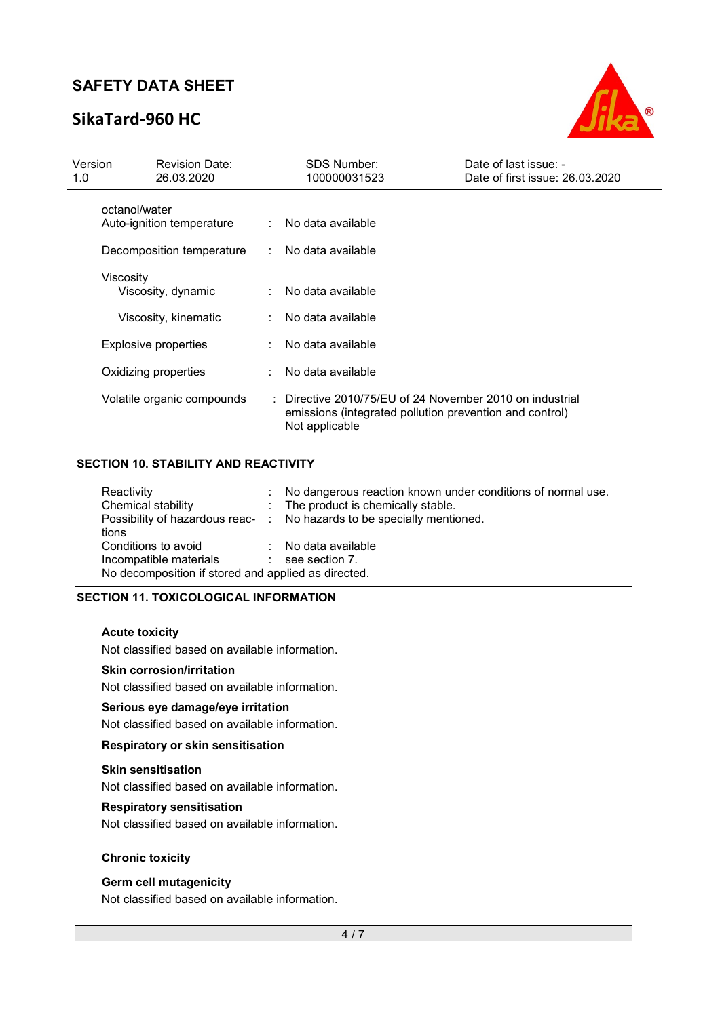# SikaTard-960 HC



| Version<br>1.0 | <b>Revision Date:</b><br>26.03.2020        | <b>SDS Number:</b><br>100000031523                                                                                                    | Date of last issue: -<br>Date of first issue: 26.03.2020 |
|----------------|--------------------------------------------|---------------------------------------------------------------------------------------------------------------------------------------|----------------------------------------------------------|
|                | octanol/water<br>Auto-ignition temperature | : No data available                                                                                                                   |                                                          |
|                | Decomposition temperature                  | : No data available                                                                                                                   |                                                          |
|                | Viscosity<br>Viscosity, dynamic            | No data available                                                                                                                     |                                                          |
|                | Viscosity, kinematic                       | No data available                                                                                                                     |                                                          |
|                | <b>Explosive properties</b>                | No data available                                                                                                                     |                                                          |
|                | Oxidizing properties                       | No data available                                                                                                                     |                                                          |
|                | Volatile organic compounds                 | : Directive 2010/75/EU of 24 November 2010 on industrial<br>emissions (integrated pollution prevention and control)<br>Not applicable |                                                          |

## SECTION 10. STABILITY AND REACTIVITY

| Reactivity                                          | t. | No dangerous reaction known under conditions of normal use.            |  |  |  |
|-----------------------------------------------------|----|------------------------------------------------------------------------|--|--|--|
| Chemical stability                                  |    | : The product is chemically stable.                                    |  |  |  |
|                                                     |    | Possibility of hazardous reac- : No hazards to be specially mentioned. |  |  |  |
| tions                                               |    |                                                                        |  |  |  |
| Conditions to avoid                                 |    | : No data available                                                    |  |  |  |
| Incompatible materials :                            |    | see section 7.                                                         |  |  |  |
| No decomposition if stored and applied as directed. |    |                                                                        |  |  |  |

## SECTION 11. TOXICOLOGICAL INFORMATION

### Acute toxicity

Not classified based on available information.

### Skin corrosion/irritation

Not classified based on available information.

### Serious eye damage/eye irritation

Not classified based on available information.

## Respiratory or skin sensitisation

#### Skin sensitisation

Not classified based on available information.

### Respiratory sensitisation

Not classified based on available information.

### Chronic toxicity

### Germ cell mutagenicity

Not classified based on available information.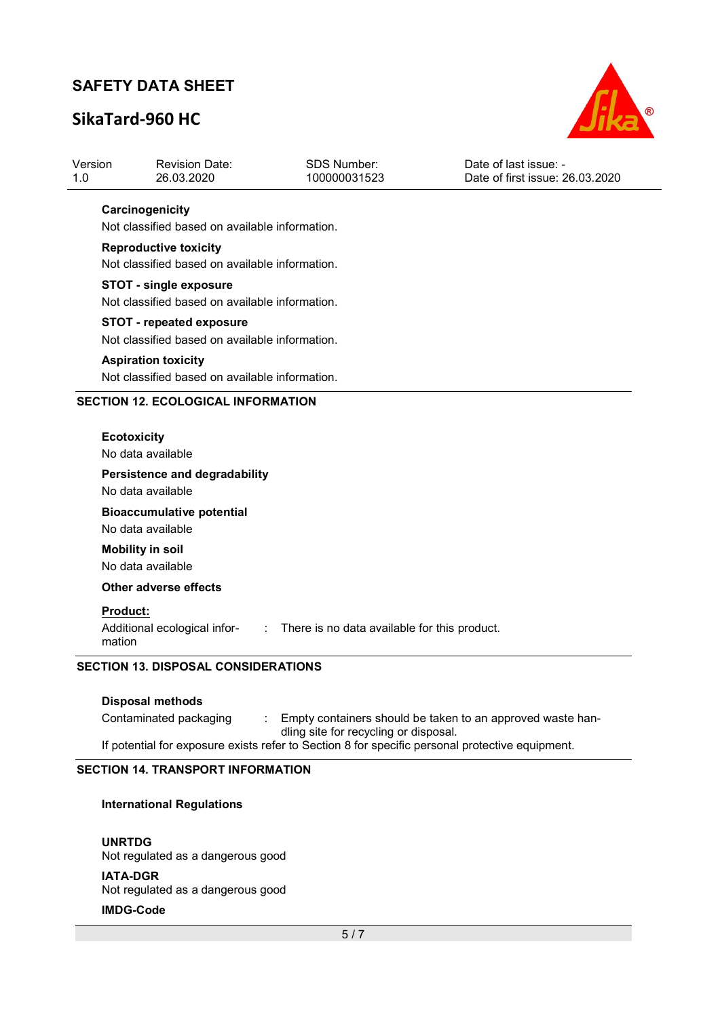# SikaTard-960 HC



| Version | Revision Date: | SDS Number:  | Date of last issue: -           |
|---------|----------------|--------------|---------------------------------|
| $-1.0$  | 26.03.2020     | 100000031523 | Date of first issue: 26.03.2020 |
|         |                |              |                                 |

## **Carcinogenicity**

Not classified based on available information.

### Reproductive toxicity

Not classified based on available information.

#### STOT - single exposure

Not classified based on available information.

### STOT - repeated exposure

Not classified based on available information.

#### Aspiration toxicity

Not classified based on available information.

### SECTION 12. ECOLOGICAL INFORMATION

#### **Ecotoxicity**

No data available

### Persistence and degradability

No data available

# Bioaccumulative potential

No data available

## Mobility in soil

No data available

### Other adverse effects

### Product:

Additional ecological infor- : There is no data available for this product.

mation

## SECTION 13. DISPOSAL CONSIDERATIONS

### Disposal methods

Contaminated packaging : Empty containers should be taken to an approved waste handling site for recycling or disposal. If potential for exposure exists refer to Section 8 for specific personal protective equipment.

### SECTION 14. TRANSPORT INFORMATION

### International Regulations

UNRTDG Not regulated as a dangerous good IATA-DGR Not regulated as a dangerous good

## IMDG-Code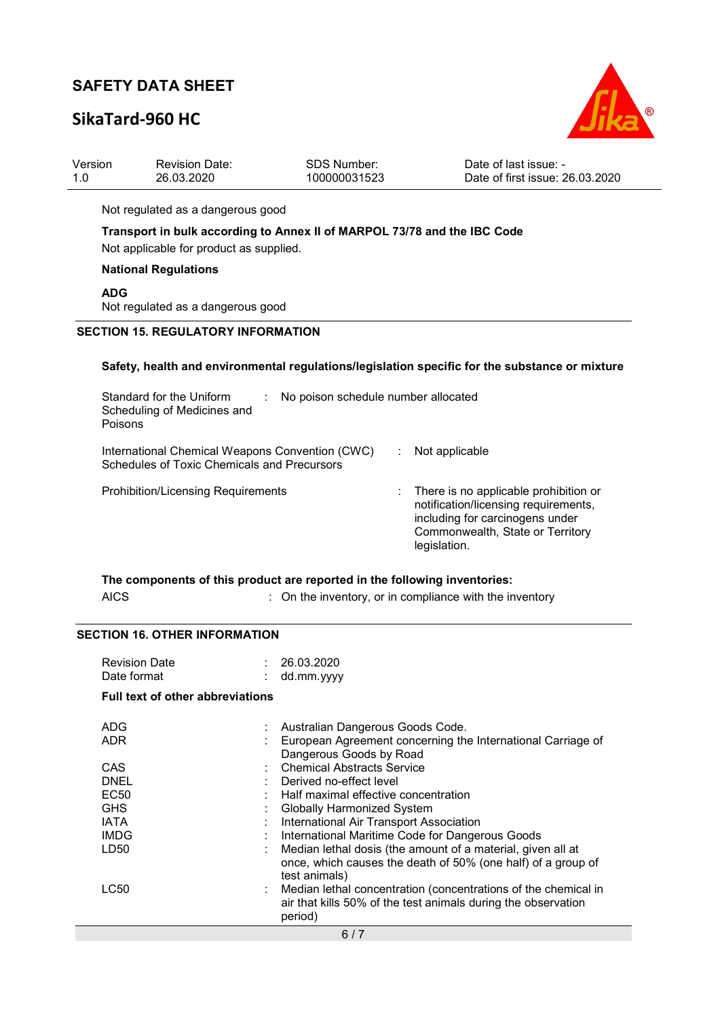# SikaTard-960 HC



| 1.0                                                                                            | Version<br><b>Revision Date:</b><br><b>SDS Number:</b><br>26.03.2020<br>100000031523                                |  | Date of last issue: -<br>Date of first issue: 26.03.2020                                                                                                             |  |  |  |
|------------------------------------------------------------------------------------------------|---------------------------------------------------------------------------------------------------------------------|--|----------------------------------------------------------------------------------------------------------------------------------------------------------------------|--|--|--|
|                                                                                                | Not regulated as a dangerous good                                                                                   |  |                                                                                                                                                                      |  |  |  |
|                                                                                                | Transport in bulk according to Annex II of MARPOL 73/78 and the IBC Code<br>Not applicable for product as supplied. |  |                                                                                                                                                                      |  |  |  |
|                                                                                                | <b>National Regulations</b>                                                                                         |  |                                                                                                                                                                      |  |  |  |
|                                                                                                | <b>ADG</b><br>Not regulated as a dangerous good                                                                     |  |                                                                                                                                                                      |  |  |  |
|                                                                                                | <b>SECTION 15. REGULATORY INFORMATION</b>                                                                           |  |                                                                                                                                                                      |  |  |  |
| Safety, health and environmental regulations/legislation specific for the substance or mixture |                                                                                                                     |  |                                                                                                                                                                      |  |  |  |
|                                                                                                | Standard for the Uniform<br>No poison schedule number allocated<br>Scheduling of Medicines and<br>Poisons           |  |                                                                                                                                                                      |  |  |  |
|                                                                                                | International Chemical Weapons Convention (CWC)<br>Schedules of Toxic Chemicals and Precursors                      |  | Not applicable                                                                                                                                                       |  |  |  |
|                                                                                                | <b>Prohibition/Licensing Requirements</b>                                                                           |  | There is no applicable prohibition or<br>notification/licensing requirements,<br>including for carcinogens under<br>Commonwealth, State or Territory<br>legislation. |  |  |  |

|             | The components of this product are reported in the following inventories: |
|-------------|---------------------------------------------------------------------------|
| <b>AICS</b> | : On the inventory, or in compliance with the inventory                   |

## SECTION 16. OTHER INFORMATION

| <b>Revision Date</b> | : 26.03.2020 |
|----------------------|--------------|
| Date format          | : dd.mm.yyyy |

## Full text of other abbreviations

| ADG<br><b>ADR</b> | Australian Dangerous Goods Code.<br>European Agreement concerning the International Carriage of<br>Dangerous Goods by Road |  |  |
|-------------------|----------------------------------------------------------------------------------------------------------------------------|--|--|
| CAS               | <b>Chemical Abstracts Service</b>                                                                                          |  |  |
| <b>DNEL</b>       | Derived no-effect level                                                                                                    |  |  |
| <b>EC50</b>       | Half maximal effective concentration                                                                                       |  |  |
| <b>GHS</b>        | <b>Globally Harmonized System</b>                                                                                          |  |  |
| <b>IATA</b>       | International Air Transport Association                                                                                    |  |  |
| <b>IMDG</b>       | International Maritime Code for Dangerous Goods                                                                            |  |  |
| LD50<br>÷.        | Median lethal dosis (the amount of a material, given all at                                                                |  |  |
|                   | once, which causes the death of 50% (one half) of a group of<br>test animals)                                              |  |  |
| LC50              | Median lethal concentration (concentrations of the chemical in                                                             |  |  |
|                   | air that kills 50% of the test animals during the observation                                                              |  |  |
|                   | period)                                                                                                                    |  |  |
| 6/7               |                                                                                                                            |  |  |